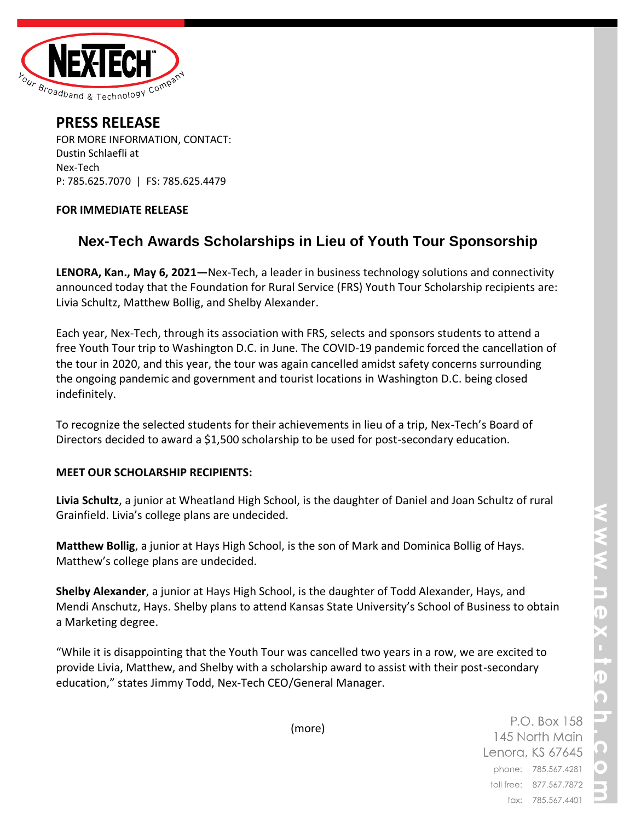

**PRESS RELEASE** FOR MORE INFORMATION, CONTACT: Dustin Schlaefli at Nex-Tech P: 785.625.7070 | FS: 785.625.4479

## **FOR IMMEDIATE RELEASE**

## **Nex-Tech Awards Scholarships in Lieu of Youth Tour Sponsorship**

**LENORA, Kan., May 6, 2021—**Nex-Tech, a leader in business technology solutions and connectivity announced today that the Foundation for Rural Service (FRS) Youth Tour Scholarship recipients are: Livia Schultz, Matthew Bollig, and Shelby Alexander.

Each year, Nex-Tech, through its association with FRS, selects and sponsors students to attend a free Youth Tour trip to Washington D.C. in June. The COVID-19 pandemic forced the cancellation of the tour in 2020, and this year, the tour was again cancelled amidst safety concerns surrounding the ongoing pandemic and government and tourist locations in Washington D.C. being closed indefinitely.

To recognize the selected students for their achievements in lieu of a trip, Nex-Tech's Board of Directors decided to award a \$1,500 scholarship to be used for post-secondary education.

## **MEET OUR SCHOLARSHIP RECIPIENTS:**

**Livia Schultz**, a junior at Wheatland High School, is the daughter of Daniel and Joan Schultz of rural Grainfield. Livia's college plans are undecided.

**Matthew Bollig**, a junior at Hays High School, is the son of Mark and Dominica Bollig of Hays. Matthew's college plans are undecided.

**Shelby Alexander**, a junior at Hays High School, is the daughter of Todd Alexander, Hays, and Mendi Anschutz, Hays. Shelby plans to attend Kansas State University's School of Business to obtain a Marketing degree.

"While it is disappointing that the Youth Tour was cancelled two years in a row, we are excited to provide Livia, Matthew, and Shelby with a scholarship award to assist with their post-secondary education," states Jimmy Todd, Nex-Tech CEO/General Manager.

(more)

P.O. Box 158 145 North Main Lenora, KS 67645 phone: 785.567.4281 toll free: 877.567.7872 fax: 785.567.4401